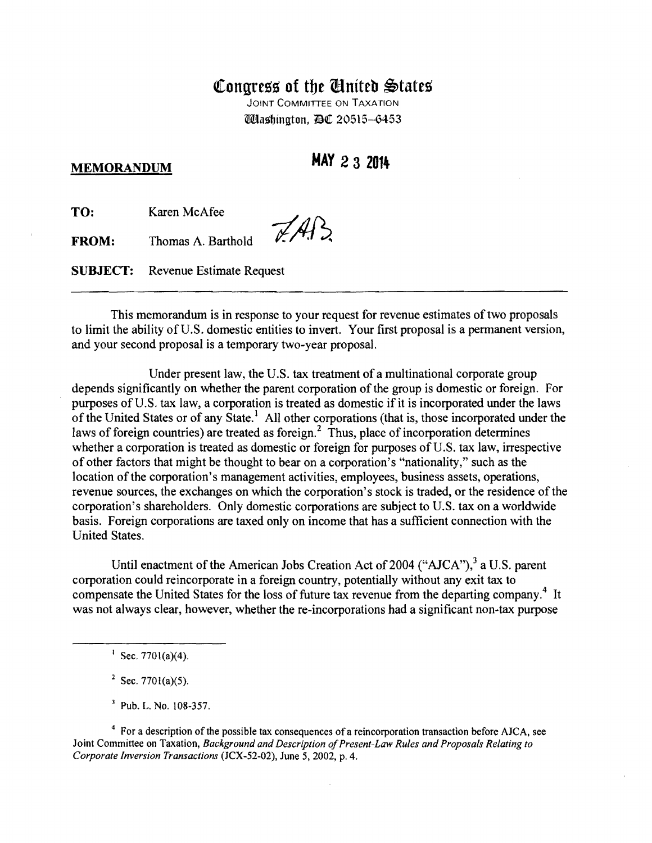## Congress of the **Cinited** States

JOINT COMMITTEE ON TAXATION Udashington, DC 20515-6453

**MEMORANDUM MAY 2 3 2014** 

**TO:** Karen McAfee

**FROM:** Thomas A. Barthold

**SUBJECT:** Revenue Estimate Request

This memorandum is in response to your request for revenue estimates of two proposals to limit the ability of U.S. domestic entities to invert. Your first proposal is a permanent version, and your second proposal is a temporary two-year proposal.

 $ZAB$ 

Under present law, the U.S. tax treatment of a multinational corporate group depends significantly on whether the parent corporation of the group is domestic or foreign. For purposes of U.S. tax law, a corporation is treated as domestic if it is incorporated under the laws of the United States or of any State.<sup>1</sup> All other corporations (that is, those incorporated under the laws of foreign countries) are treated as foreign.<sup>2</sup> Thus, place of incorporation determines whether a corporation is treated as domestic or foreign for purposes of U.S. tax law, irrespective of other factors that might be thought to bear on a corporation's "nationality," such as the location of the corporation's management activities, employees, business assets, operations, revenue sources, the exchanges on which the corporation's stock is traded, or the residence of the corporation's shareholders. Only domestic corporations are subject to U.S. tax on a worldwide basis. Foreign corporations are taxed only on income that has a sufficient connection with the United States.

Until enactment of the American Jobs Creation Act of 2004 (" $AJCA$ "),  $3a$  U.S. parent corporation could reincorporate in a foreign country, potentially without any exit tax to compensate the United States for the loss of future tax revenue from the departing company.<sup>4</sup> It was not always clear, however, whether the re-incorporations had a significant non-tax purpose

<sup>4</sup> For a description of the possible tax consequences of a reincorporation transaction before AJCA, see Joint Committee on Taxation, *Background and Description of Present-Law Rules and Proposals Relating to Corporate Inversion Transactions* (JCX-52-02), June 5, 2002, p. 4.

 $\frac{1}{\sqrt{5}}$  Sec. 7701(a)(4).

<sup>&</sup>lt;sup>2</sup> Sec. 7701(a)(5).

<sup>&</sup>lt;sup>3</sup> Pub. L. No. 108-357.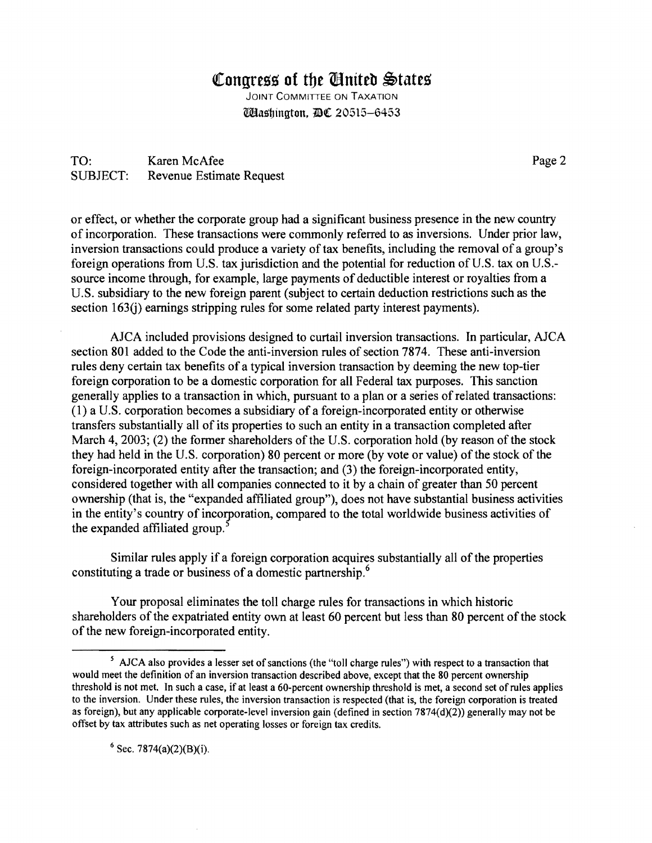## **Congress of the Cinited States**

JOINT COMMITTEE ON TAXATION Włashington, DE 20515-6453

TO: Karen McAfee Page 2 SUBJECT: Revenue Estimate Request

or effect, or whether the corporate group had a significant business presence in the new country of incorporation. These transactions were commonly referred to as inversions. Under prior law, inversion transactions could produce a variety of tax benefits, including the removal of a group's foreign operations from U.S. tax jurisdiction and the potential for reduction of U.S. tax on U.S. source income through, for example, large payments of deductible interest or royalties from a U.S. subsidiary to the new foreign parent (subject to certain deduction restrictions such as the section 163(j) earnings stripping rules for some related party interest payments).

AJCA included provisions designed to curtail inversion transactions. In particular, AJCA section 801 added to the Code the anti-inversion rules of section 7874. These anti-inversion rules deny certain tax benefits of a typical inversion transaction by deeming the new top-tier foreign corporation to be a domestic corporation for all Federal tax purposes. This sanction generally applies to a transaction in which, pursuant to a plan or a series of related transactions: (1) a U.S. corporation becomes a subsidiary of a foreign-incorporated entity or otherwise transfers substantially all of its properties to such an entity in a transaction completed after March 4, 2003; (2) the former shareholders of the U.S. corporation hold (by reason of the stock they had held in the U.S. corporation) 80 percent or more (by vote or value) of the stock of the foreign-incorporated entity after the transaction; and (3) the foreign-incorporated entity, considered together with all companies connected to it by a chain of greater than 50 percent ownership (that is, the "expanded affiliated group"), does not have substantial business activities in the entity's country of incorporation, compared to the total worldwide business activities of the expanded affiliated group.<sup>5</sup>

Similar rules apply if a foreign corporation acquires substantially all of the properties constituting a trade or business of a domestic partnership.<sup>6</sup>

Your proposal eliminates the toll charge rules for transactions in which historic shareholders of the expatriated entity own at least 60 percent but less than 80 percent of the stock of the new foreign-incorporated entity.

 $6$  Sec. 7874(a)(2)(B)(i).

<sup>5</sup> AJCA also provides a lesser set of sanctions (the "toll charge rules") with respect to a transaction that would meet the definition of an inversion transaction described above, except that the 80 percent ownership threshold is not met. In such a case, if at least a 60-percent ownership threshold is met, a second set of rules applies to the inversion. Under these rules, the inversion transaction is respected (that is, the foreign corporation is treated as foreign), but any applicable corporate-level inversion gain (defined in section  $7874(d)(2)$ ) generally may not be offset by tax attributes such as net operating losses or foreign tax credits.